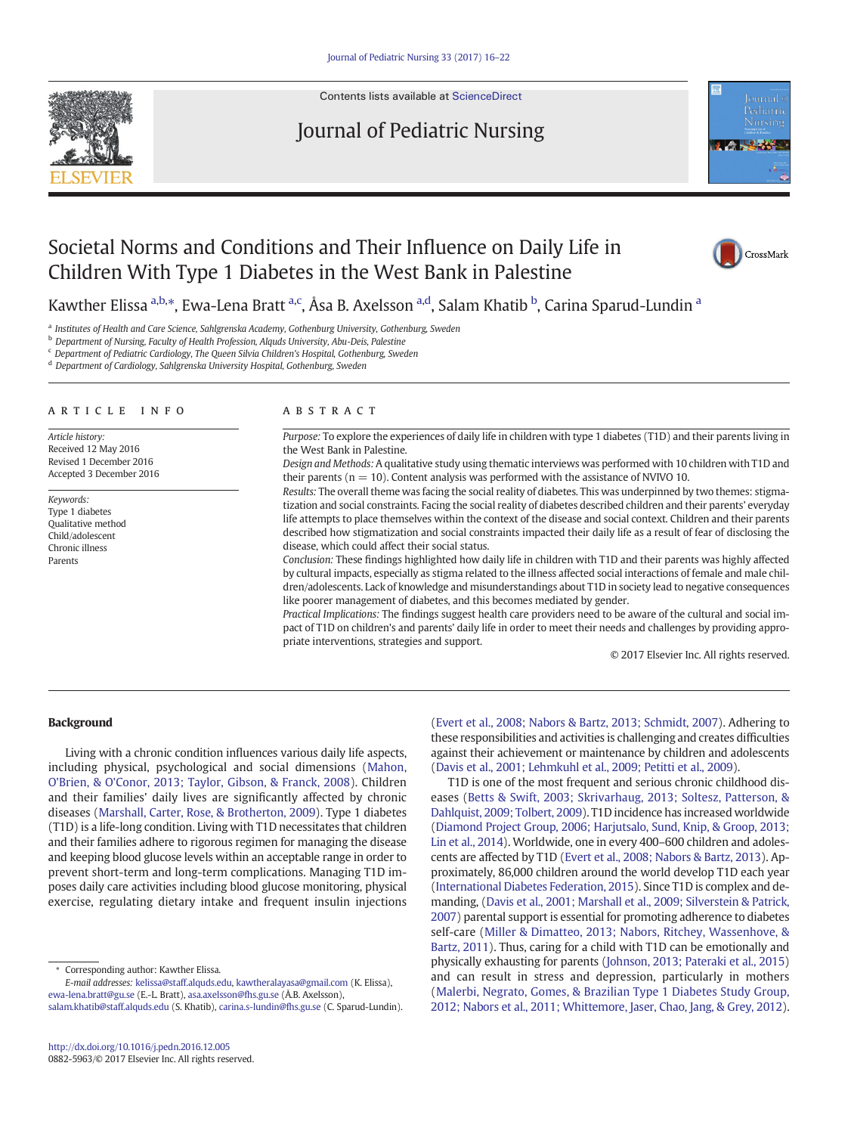

Contents lists available at [ScienceDirect](http://www.sciencedirect.com/science/journal/)

# Journal of Pediatric Nursing



# Societal Norms and Conditions and Their Influence on Daily Life in Children With Type 1 Diabetes in the West Bank in Palestine



Kawther Elissa <sup>a,b,</sup>\*, Ewa-Lena Bratt <sup>a,c</sup>, Åsa B. Axelsson <sup>a,d</sup>, Salam Khatib <sup>b</sup>, Carina Sparud-Lundin <sup>a</sup>

a Institutes of Health and Care Science, Sahlgrenska Academy, Gothenburg University, Gothenburg, Sweden

**b** Department of Nursing, Faculty of Health Profession, Alauds University, Abu-Deis, Palestine

<sup>c</sup> Department of Pediatric Cardiology, The Queen Silvia Children's Hospital, Gothenburg, Sweden

<sup>d</sup> Department of Cardiology, Sahlgrenska University Hospital, Gothenburg, Sweden

#### article info abstract

Article history: Received 12 May 2016 Revised 1 December 2016 Accepted 3 December 2016

Keywords: Type 1 diabetes Qualitative method Child/adolescent Chronic illness Parents

Purpose: To explore the experiences of daily life in children with type 1 diabetes (T1D) and their parents living in the West Bank in Palestine.

Design and Methods: A qualitative study using thematic interviews was performed with 10 children with T1D and their parents ( $n = 10$ ). Content analysis was performed with the assistance of NVIVO 10.

Results: The overall theme was facing the social reality of diabetes. This was underpinned by two themes: stigmatization and social constraints. Facing the social reality of diabetes described children and their parents' everyday life attempts to place themselves within the context of the disease and social context. Children and their parents described how stigmatization and social constraints impacted their daily life as a result of fear of disclosing the disease, which could affect their social status.

Conclusion: These findings highlighted how daily life in children with T1D and their parents was highly affected by cultural impacts, especially as stigma related to the illness affected social interactions of female and male children/adolescents. Lack of knowledge and misunderstandings about T1D in society lead to negative consequences like poorer management of diabetes, and this becomes mediated by gender.

Practical Implications: The findings suggest health care providers need to be aware of the cultural and social impact of T1D on children's and parents' daily life in order to meet their needs and challenges by providing appropriate interventions, strategies and support.

© 2017 Elsevier Inc. All rights reserved.

# **Background**

Living with a chronic condition influences various daily life aspects, including physical, psychological and social dimensions [\(Mahon,](#page-6-0) [O'Brien, & O'Conor, 2013; Taylor, Gibson, & Franck, 2008](#page-6-0)). Children and their families' daily lives are significantly affected by chronic diseases [\(Marshall, Carter, Rose, & Brotherton, 2009\)](#page-6-0). Type 1 diabetes (T1D) is a life-long condition. Living with T1D necessitates that children and their families adhere to rigorous regimen for managing the disease and keeping blood glucose levels within an acceptable range in order to prevent short-term and long-term complications. Managing T1D imposes daily care activities including blood glucose monitoring, physical exercise, regulating dietary intake and frequent insulin injections [\(Evert et al., 2008; Nabors & Bartz, 2013; Schmidt, 2007\)](#page-6-0). Adhering to these responsibilities and activities is challenging and creates difficulties against their achievement or maintenance by children and adolescents [\(Davis et al., 2001; Lehmkuhl et al., 2009; Petitti et al., 2009](#page-6-0)).

T1D is one of the most frequent and serious chronic childhood diseases ([Betts & Swift, 2003; Skrivarhaug, 2013; Soltesz, Patterson, &](#page-6-0) [Dahlquist, 2009; Tolbert, 2009](#page-6-0)). T1D incidence has increased worldwide [\(Diamond Project Group, 2006; Harjutsalo, Sund, Knip, & Groop, 2013;](#page-6-0) [Lin et al., 2014](#page-6-0)). Worldwide, one in every 400–600 children and adolescents are affected by T1D [\(Evert et al., 2008; Nabors & Bartz, 2013\)](#page-6-0). Approximately, 86,000 children around the world develop T1D each year [\(International Diabetes Federation, 2015\)](#page-6-0). Since T1D is complex and demanding, [\(Davis et al., 2001; Marshall et al., 2009; Silverstein & Patrick,](#page-6-0) [2007\)](#page-6-0) parental support is essential for promoting adherence to diabetes self-care [\(Miller & Dimatteo, 2013; Nabors, Ritchey, Wassenhove, &](#page-6-0) [Bartz, 2011](#page-6-0)). Thus, caring for a child with T1D can be emotionally and physically exhausting for parents ([Johnson, 2013; Pateraki et al., 2015](#page-6-0)) and can result in stress and depression, particularly in mothers [\(Malerbi, Negrato, Gomes, & Brazilian Type 1 Diabetes Study Group,](#page-6-0) [2012; Nabors et al., 2011; Whittemore, Jaser, Chao, Jang, & Grey, 2012\)](#page-6-0).

<sup>⁎</sup> Corresponding author: Kawther Elissa.

E-mail addresses: kelissa@staff.alquds.edu, kawtheralayasa@gmail.com (K. Elissa), ewa-lena.bratt@gu.se (E.-L. Bratt), asa.axelsson@fhs.gu.se (Å.B. Axelsson), salam.khatib@staff.alquds.edu (S. Khatib), [carina.s-lundin@fhs.gu.se](mailto:carina.s-lundin@fhs.gu.se) (C. Sparud-Lundin).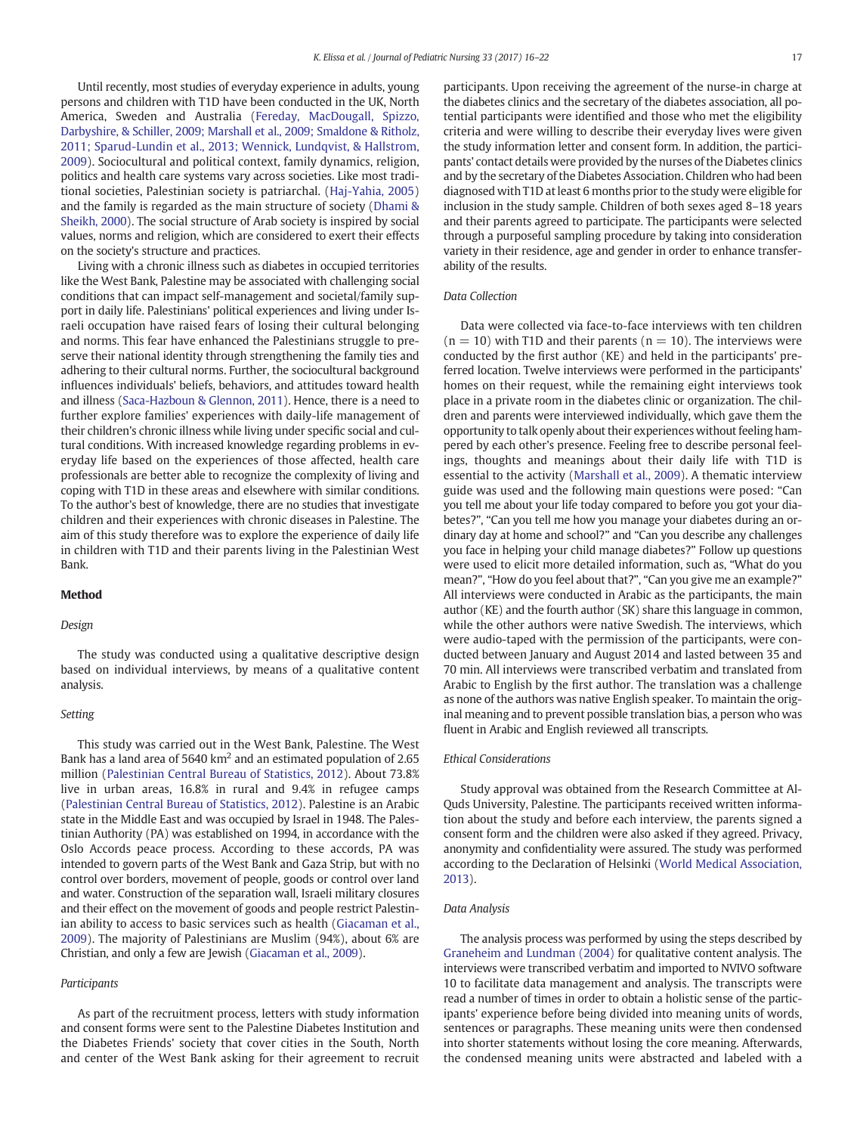Until recently, most studies of everyday experience in adults, young persons and children with T1D have been conducted in the UK, North America, Sweden and Australia [\(Fereday, MacDougall, Spizzo,](#page-6-0) [Darbyshire, & Schiller, 2009; Marshall et al., 2009; Smaldone & Ritholz,](#page-6-0) [2011; Sparud-Lundin et al., 2013; Wennick, Lundqvist, & Hallstrom,](#page-6-0) [2009\)](#page-6-0). Sociocultural and political context, family dynamics, religion, politics and health care systems vary across societies. Like most traditional societies, Palestinian society is patriarchal. ([Haj-Yahia, 2005](#page-6-0)) and the family is regarded as the main structure of society ([Dhami &](#page-6-0) [Sheikh, 2000\)](#page-6-0). The social structure of Arab society is inspired by social values, norms and religion, which are considered to exert their effects on the society's structure and practices.

Living with a chronic illness such as diabetes in occupied territories like the West Bank, Palestine may be associated with challenging social conditions that can impact self-management and societal/family support in daily life. Palestinians' political experiences and living under Israeli occupation have raised fears of losing their cultural belonging and norms. This fear have enhanced the Palestinians struggle to preserve their national identity through strengthening the family ties and adhering to their cultural norms. Further, the sociocultural background influences individuals' beliefs, behaviors, and attitudes toward health and illness ([Saca-Hazboun & Glennon, 2011](#page-6-0)). Hence, there is a need to further explore families' experiences with daily-life management of their children's chronic illness while living under specific social and cultural conditions. With increased knowledge regarding problems in everyday life based on the experiences of those affected, health care professionals are better able to recognize the complexity of living and coping with T1D in these areas and elsewhere with similar conditions. To the author's best of knowledge, there are no studies that investigate children and their experiences with chronic diseases in Palestine. The aim of this study therefore was to explore the experience of daily life in children with T1D and their parents living in the Palestinian West Bank.

#### Method

# Design

The study was conducted using a qualitative descriptive design based on individual interviews, by means of a qualitative content analysis.

#### Setting

This study was carried out in the West Bank, Palestine. The West Bank has a land area of 5640  $km^2$  and an estimated population of 2.65 million ([Palestinian Central Bureau of Statistics, 2012](#page-6-0)). About 73.8% live in urban areas, 16.8% in rural and 9.4% in refugee camps [\(Palestinian Central Bureau of Statistics, 2012\)](#page-6-0). Palestine is an Arabic state in the Middle East and was occupied by Israel in 1948. The Palestinian Authority (PA) was established on 1994, in accordance with the Oslo Accords peace process. According to these accords, PA was intended to govern parts of the West Bank and Gaza Strip, but with no control over borders, movement of people, goods or control over land and water. Construction of the separation wall, Israeli military closures and their effect on the movement of goods and people restrict Palestinian ability to access to basic services such as health ([Giacaman et al.,](#page-6-0) [2009\)](#page-6-0). The majority of Palestinians are Muslim (94%), about 6% are Christian, and only a few are Jewish ([Giacaman et al., 2009\)](#page-6-0).

#### Participants

As part of the recruitment process, letters with study information and consent forms were sent to the Palestine Diabetes Institution and the Diabetes Friends' society that cover cities in the South, North and center of the West Bank asking for their agreement to recruit participants. Upon receiving the agreement of the nurse-in charge at the diabetes clinics and the secretary of the diabetes association, all potential participants were identified and those who met the eligibility criteria and were willing to describe their everyday lives were given the study information letter and consent form. In addition, the participants' contact details were provided by the nurses of the Diabetes clinics and by the secretary of the Diabetes Association. Children who had been diagnosed with T1D at least 6 months prior to the study were eligible for inclusion in the study sample. Children of both sexes aged 8–18 years and their parents agreed to participate. The participants were selected through a purposeful sampling procedure by taking into consideration variety in their residence, age and gender in order to enhance transferability of the results.

# Data Collection

Data were collected via face-to-face interviews with ten children  $(n = 10)$  with T1D and their parents  $(n = 10)$ . The interviews were conducted by the first author (KE) and held in the participants' preferred location. Twelve interviews were performed in the participants' homes on their request, while the remaining eight interviews took place in a private room in the diabetes clinic or organization. The children and parents were interviewed individually, which gave them the opportunity to talk openly about their experiences without feeling hampered by each other's presence. Feeling free to describe personal feelings, thoughts and meanings about their daily life with T1D is essential to the activity ([Marshall et al., 2009](#page-6-0)). A thematic interview guide was used and the following main questions were posed: "Can you tell me about your life today compared to before you got your diabetes?", "Can you tell me how you manage your diabetes during an ordinary day at home and school?" and "Can you describe any challenges you face in helping your child manage diabetes?" Follow up questions were used to elicit more detailed information, such as, "What do you mean?", "How do you feel about that?", "Can you give me an example?" All interviews were conducted in Arabic as the participants, the main author (KE) and the fourth author (SK) share this language in common, while the other authors were native Swedish. The interviews, which were audio-taped with the permission of the participants, were conducted between January and August 2014 and lasted between 35 and 70 min. All interviews were transcribed verbatim and translated from Arabic to English by the first author. The translation was a challenge as none of the authors was native English speaker. To maintain the original meaning and to prevent possible translation bias, a person who was fluent in Arabic and English reviewed all transcripts.

#### Ethical Considerations

Study approval was obtained from the Research Committee at Al-Quds University, Palestine. The participants received written information about the study and before each interview, the parents signed a consent form and the children were also asked if they agreed. Privacy, anonymity and confidentiality were assured. The study was performed according to the Declaration of Helsinki ([World Medical Association,](#page-6-0) [2013](#page-6-0)).

#### Data Analysis

The analysis process was performed by using the steps described by [Graneheim and Lundman \(2004\)](#page-6-0) for qualitative content analysis. The interviews were transcribed verbatim and imported to NVIVO software 10 to facilitate data management and analysis. The transcripts were read a number of times in order to obtain a holistic sense of the participants' experience before being divided into meaning units of words, sentences or paragraphs. These meaning units were then condensed into shorter statements without losing the core meaning. Afterwards, the condensed meaning units were abstracted and labeled with a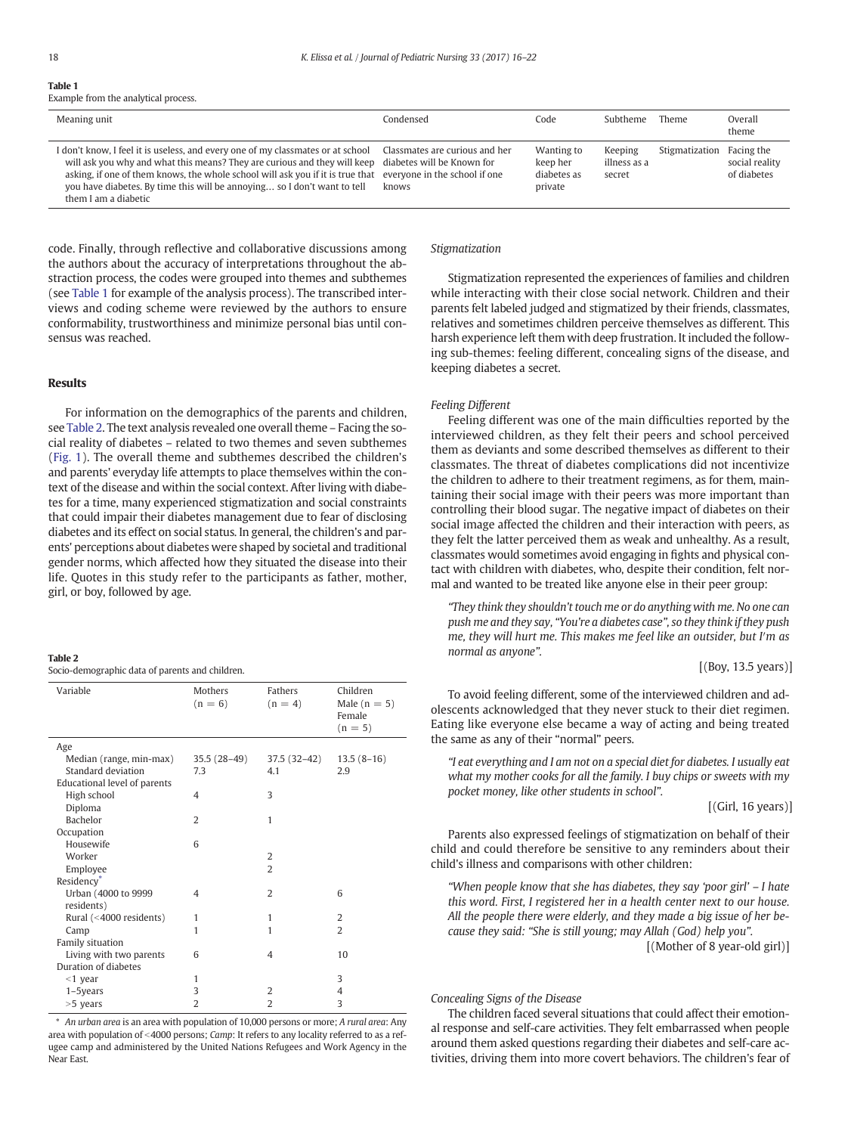# Table 1

Example from the analytical process.

| Meaning unit                                                                                                                                                                                                                                                                                                                                                                                                                               | Condensed | Code                                             | Subtheme                                 | Theme          | Overall<br>theme                            |
|--------------------------------------------------------------------------------------------------------------------------------------------------------------------------------------------------------------------------------------------------------------------------------------------------------------------------------------------------------------------------------------------------------------------------------------------|-----------|--------------------------------------------------|------------------------------------------|----------------|---------------------------------------------|
| I don't know, I feel it is useless, and every one of my classmates or at school Classmates are curious and her<br>will ask you why and what this means? They are curious and they will keep diabetes will be Known for<br>asking, if one of them knows, the whole school will ask you if it is true that everyone in the school if one<br>you have diabetes. By time this will be annoying so I don't want to tell<br>them I am a diabetic | knows     | Wanting to<br>keep her<br>diabetes as<br>private | <b>Keeping</b><br>illness as a<br>secret | Stigmatization | Facing the<br>social reality<br>of diabetes |

code. Finally, through reflective and collaborative discussions among the authors about the accuracy of interpretations throughout the abstraction process, the codes were grouped into themes and subthemes (see Table 1 for example of the analysis process). The transcribed interviews and coding scheme were reviewed by the authors to ensure conformability, trustworthiness and minimize personal bias until consensus was reached.

#### Results

For information on the demographics of the parents and children, see Table 2. The text analysis revealed one overall theme – Facing the social reality of diabetes – related to two themes and seven subthemes [\(Fig. 1](#page-3-0)). The overall theme and subthemes described the children's and parents' everyday life attempts to place themselves within the context of the disease and within the social context. After living with diabetes for a time, many experienced stigmatization and social constraints that could impair their diabetes management due to fear of disclosing diabetes and its effect on social status. In general, the children's and parents' perceptions about diabetes were shaped by societal and traditional gender norms, which affected how they situated the disease into their life. Quotes in this study refer to the participants as father, mother, girl, or boy, followed by age.

### Table 2

Socio-demographic data of parents and children.

| Variable                     | Mothers<br>$(n = 6)$ | <b>Fathers</b><br>$(n = 4)$ | Children<br>Male $(n = 5)$<br>Female<br>$(n = 5)$ |
|------------------------------|----------------------|-----------------------------|---------------------------------------------------|
| Age                          |                      |                             |                                                   |
| Median (range, min-max)      | $35.5(28-49)$        | 37.5 (32–42)                | $13.5(8-16)$                                      |
| Standard deviation           | 7.3                  | 4.1                         | 2.9                                               |
| Educational level of parents |                      |                             |                                                   |
| High school                  | 4                    | 3                           |                                                   |
| Diploma                      |                      |                             |                                                   |
| <b>Bachelor</b>              | $\overline{2}$       | 1                           |                                                   |
| Occupation                   |                      |                             |                                                   |
| Housewife                    | 6                    |                             |                                                   |
| Worker                       |                      | 2                           |                                                   |
| Employee                     |                      | $\overline{2}$              |                                                   |
| Residency*                   |                      |                             |                                                   |
| Urban (4000 to 9999          | 4                    | $\overline{2}$              | 6                                                 |
| residents)                   |                      |                             |                                                   |
| Rural (<4000 residents)      | $\mathbf{1}$         | $\mathbf{1}$                | 2                                                 |
| Camp                         | 1                    | 1                           | $\overline{2}$                                    |
| Family situation             |                      |                             |                                                   |
| Living with two parents      | 6                    | 4                           | 10                                                |
| Duration of diabetes         |                      |                             |                                                   |
| $<$ 1 year                   | 1                    |                             | 3                                                 |
| $1-5$ years                  | 3                    | $\overline{2}$              | 4                                                 |
| $>5$ years                   | $\overline{2}$       | $\overline{2}$              | 3                                                 |

⁎ An urban area is an area with population of 10,000 persons or more; A rural area: Any area with population of <4000 persons; Camp: It refers to any locality referred to as a refugee camp and administered by the United Nations Refugees and Work Agency in the Near East.

#### Stigmatization

Stigmatization represented the experiences of families and children while interacting with their close social network. Children and their parents felt labeled judged and stigmatized by their friends, classmates, relatives and sometimes children perceive themselves as different. This harsh experience left them with deep frustration. It included the following sub-themes: feeling different, concealing signs of the disease, and keeping diabetes a secret.

## Feeling Different

Feeling different was one of the main difficulties reported by the interviewed children, as they felt their peers and school perceived them as deviants and some described themselves as different to their classmates. The threat of diabetes complications did not incentivize the children to adhere to their treatment regimens, as for them, maintaining their social image with their peers was more important than controlling their blood sugar. The negative impact of diabetes on their social image affected the children and their interaction with peers, as they felt the latter perceived them as weak and unhealthy. As a result, classmates would sometimes avoid engaging in fights and physical contact with children with diabetes, who, despite their condition, felt normal and wanted to be treated like anyone else in their peer group:

"They think they shouldn't touch me or do anything with me. No one can push me and they say, "You're a diabetes case", so they think if they push me, they will hurt me. This makes me feel like an outsider, but I′m as normal as anyone".

[(Boy, 13.5 years)]

To avoid feeling different, some of the interviewed children and adolescents acknowledged that they never stuck to their diet regimen. Eating like everyone else became a way of acting and being treated the same as any of their "normal" peers.

"I eat everything and I am not on a special diet for diabetes. I usually eat what my mother cooks for all the family. I buy chips or sweets with my pocket money, like other students in school".

 $[(Girl, 16 \text{ years})]$ 

Parents also expressed feelings of stigmatization on behalf of their child and could therefore be sensitive to any reminders about their child's illness and comparisons with other children:

"When people know that she has diabetes, they say 'poor girl' – I hate this word. First, I registered her in a health center next to our house. All the people there were elderly, and they made a big issue of her because they said: "She is still young; may Allah (God) help you".

[(Mother of 8 year-old girl)]

### Concealing Signs of the Disease

The children faced several situations that could affect their emotional response and self-care activities. They felt embarrassed when people around them asked questions regarding their diabetes and self-care activities, driving them into more covert behaviors. The children's fear of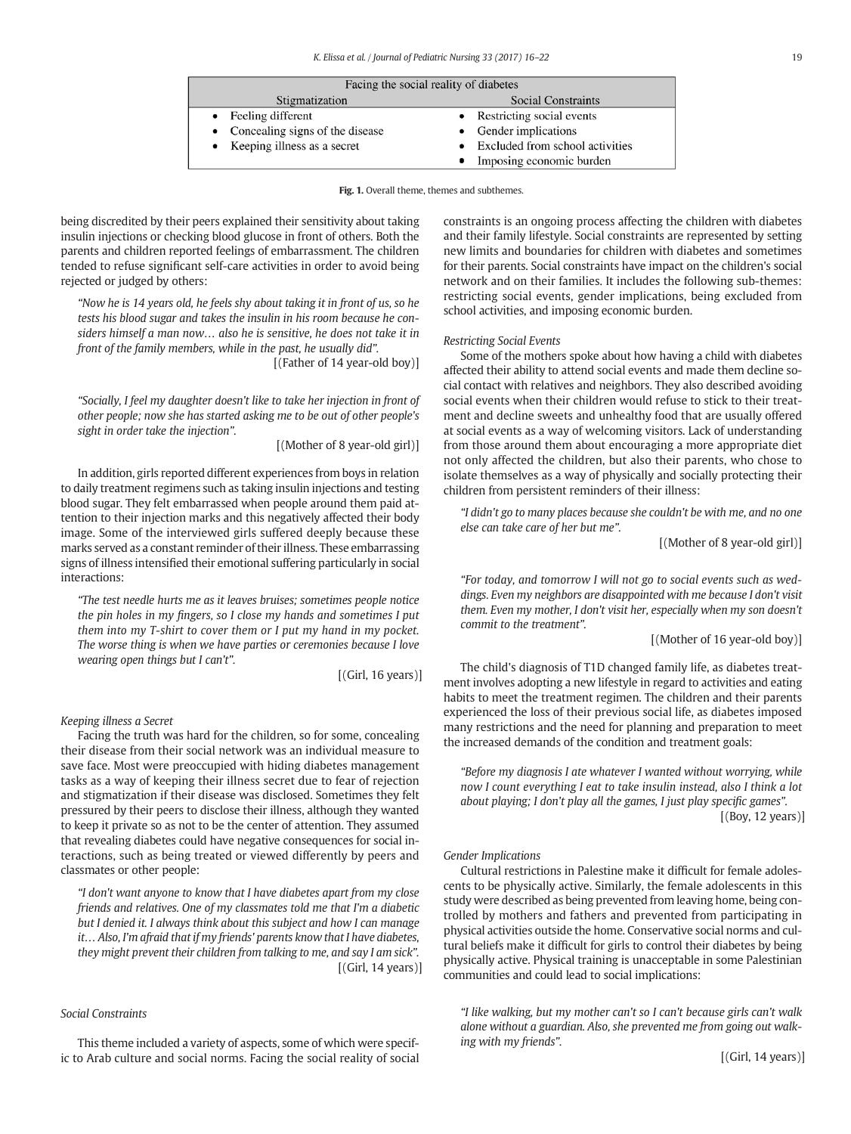<span id="page-3-0"></span>

| Facing the social reality of diabetes |                                 |  |  |  |
|---------------------------------------|---------------------------------|--|--|--|
| Stigmatization                        | Social Constraints              |  |  |  |
| • Feeling different                   | • Restricting social events     |  |  |  |
| • Concealing signs of the disease     | • Gender implications           |  |  |  |
| • Keeping illness as a secret         | Excluded from school activities |  |  |  |
|                                       | Imposing economic burden        |  |  |  |

Fig. 1. Overall theme, themes and subthemes.

being discredited by their peers explained their sensitivity about taking insulin injections or checking blood glucose in front of others. Both the parents and children reported feelings of embarrassment. The children tended to refuse significant self-care activities in order to avoid being rejected or judged by others:

"Now he is 14 years old, he feels shy about taking it in front of us, so he tests his blood sugar and takes the insulin in his room because he considers himself a man now… also he is sensitive, he does not take it in front of the family members, while in the past, he usually did".

[(Father of 14 year-old boy)]

"Socially, I feel my daughter doesn't like to take her injection in front of other people; now she has started asking me to be out of other people's sight in order take the injection".

[(Mother of 8 year-old girl)]

In addition, girls reported different experiences from boys in relation to daily treatment regimens such as taking insulin injections and testing blood sugar. They felt embarrassed when people around them paid attention to their injection marks and this negatively affected their body image. Some of the interviewed girls suffered deeply because these marks served as a constant reminder of their illness. These embarrassing signs of illness intensified their emotional suffering particularly in social interactions:

"The test needle hurts me as it leaves bruises; sometimes people notice the pin holes in my fingers, so I close my hands and sometimes I put them into my T-shirt to cover them or I put my hand in my pocket. The worse thing is when we have parties or ceremonies because I love wearing open things but I can't".

[(Girl, 16 years)]

#### Keeping illness a Secret

Facing the truth was hard for the children, so for some, concealing their disease from their social network was an individual measure to save face. Most were preoccupied with hiding diabetes management tasks as a way of keeping their illness secret due to fear of rejection and stigmatization if their disease was disclosed. Sometimes they felt pressured by their peers to disclose their illness, although they wanted to keep it private so as not to be the center of attention. They assumed that revealing diabetes could have negative consequences for social interactions, such as being treated or viewed differently by peers and classmates or other people:

"I don't want anyone to know that I have diabetes apart from my close friends and relatives. One of my classmates told me that I'm a diabetic but I denied it. I always think about this subject and how I can manage it… Also, I'm afraid that if my friends' parents know that I have diabetes, they might prevent their children from talking to me, and say I am sick".  $[(Girl, 14 \text{ years})]$ 

# Social Constraints

This theme included a variety of aspects, some of which were specific to Arab culture and social norms. Facing the social reality of social constraints is an ongoing process affecting the children with diabetes and their family lifestyle. Social constraints are represented by setting new limits and boundaries for children with diabetes and sometimes for their parents. Social constraints have impact on the children's social network and on their families. It includes the following sub-themes: restricting social events, gender implications, being excluded from school activities, and imposing economic burden.

#### Restricting Social Events

Some of the mothers spoke about how having a child with diabetes affected their ability to attend social events and made them decline social contact with relatives and neighbors. They also described avoiding social events when their children would refuse to stick to their treatment and decline sweets and unhealthy food that are usually offered at social events as a way of welcoming visitors. Lack of understanding from those around them about encouraging a more appropriate diet not only affected the children, but also their parents, who chose to isolate themselves as a way of physically and socially protecting their children from persistent reminders of their illness:

"I didn't go to many places because she couldn't be with me, and no one else can take care of her but me".

[(Mother of 8 year-old girl)]

"For today, and tomorrow I will not go to social events such as weddings. Even my neighbors are disappointed with me because I don't visit them. Even my mother, I don't visit her, especially when my son doesn't commit to the treatment".

[(Mother of 16 year-old boy)]

The child's diagnosis of T1D changed family life, as diabetes treatment involves adopting a new lifestyle in regard to activities and eating habits to meet the treatment regimen. The children and their parents experienced the loss of their previous social life, as diabetes imposed many restrictions and the need for planning and preparation to meet the increased demands of the condition and treatment goals:

"Before my diagnosis I ate whatever I wanted without worrying, while now I count everything I eat to take insulin instead, also I think a lot about playing; I don't play all the games, I just play specific games".  $[(Boy, 12 years)]$ 

#### Gender Implications

Cultural restrictions in Palestine make it difficult for female adolescents to be physically active. Similarly, the female adolescents in this study were described as being prevented from leaving home, being controlled by mothers and fathers and prevented from participating in physical activities outside the home. Conservative social norms and cultural beliefs make it difficult for girls to control their diabetes by being physically active. Physical training is unacceptable in some Palestinian communities and could lead to social implications:

"I like walking, but my mother can't so I can't because girls can't walk alone without a guardian. Also, she prevented me from going out walking with my friends".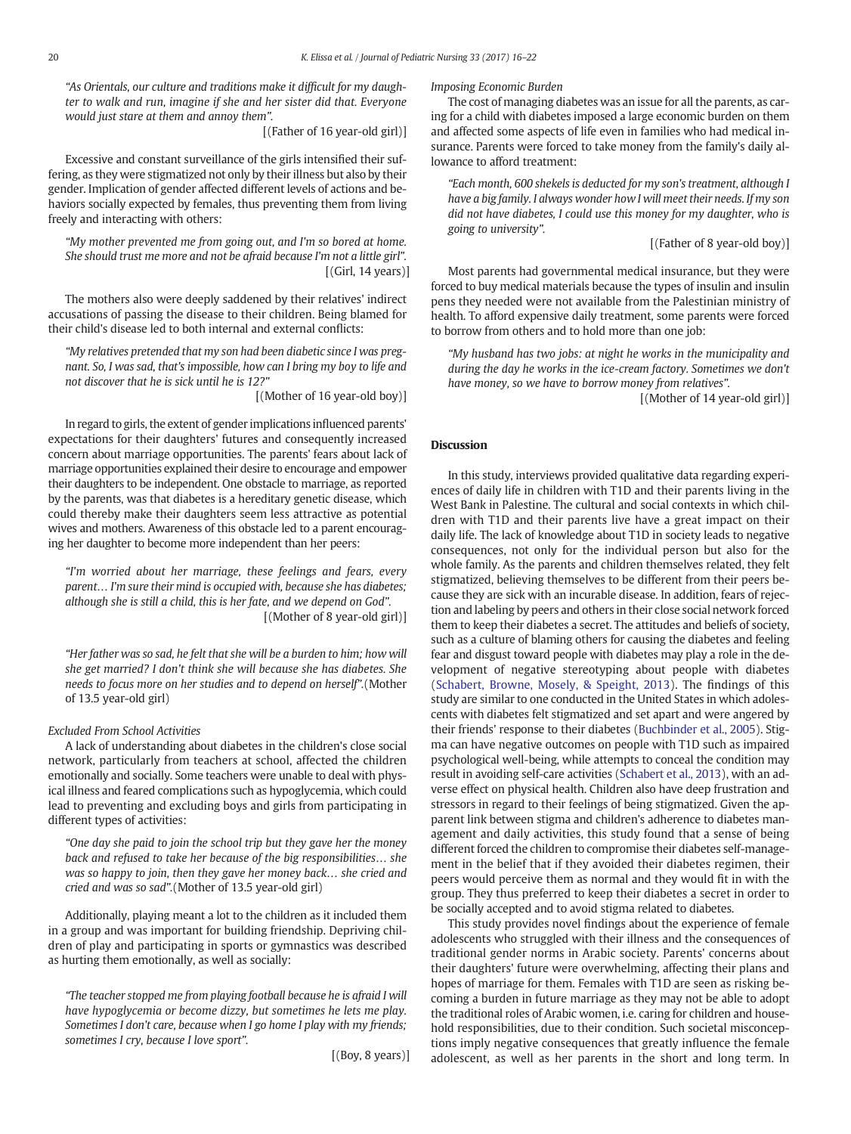"As Orientals, our culture and traditions make it difficult for my daughter to walk and run, imagine if she and her sister did that. Everyone would just stare at them and annoy them".

[(Father of 16 year-old girl)]

Excessive and constant surveillance of the girls intensified their suffering, as they were stigmatized not only by their illness but also by their gender. Implication of gender affected different levels of actions and behaviors socially expected by females, thus preventing them from living freely and interacting with others:

"My mother prevented me from going out, and I'm so bored at home. She should trust me more and not be afraid because I'm not a little girl".  $[(Girl, 14 years)]$ 

The mothers also were deeply saddened by their relatives' indirect accusations of passing the disease to their children. Being blamed for their child's disease led to both internal and external conflicts:

"My relatives pretended that my son had been diabetic since I was pregnant. So, I was sad, that's impossible, how can I bring my boy to life and not discover that he is sick until he is 12?"

[(Mother of 16 year-old boy)]

In regard to girls, the extent of gender implications influenced parents' expectations for their daughters' futures and consequently increased concern about marriage opportunities. The parents' fears about lack of marriage opportunities explained their desire to encourage and empower their daughters to be independent. One obstacle to marriage, as reported by the parents, was that diabetes is a hereditary genetic disease, which could thereby make their daughters seem less attractive as potential wives and mothers. Awareness of this obstacle led to a parent encouraging her daughter to become more independent than her peers:

"I'm worried about her marriage, these feelings and fears, every parent… I'm sure their mind is occupied with, because she has diabetes; although she is still a child, this is her fate, and we depend on God". [(Mother of 8 year-old girl)]

"Her father was so sad, he felt that she will be a burden to him; how will she get married? I don't think she will because she has diabetes. She needs to focus more on her studies and to depend on herself".(Mother of 13.5 year-old girl)

# Excluded From School Activities

A lack of understanding about diabetes in the children's close social network, particularly from teachers at school, affected the children emotionally and socially. Some teachers were unable to deal with physical illness and feared complications such as hypoglycemia, which could lead to preventing and excluding boys and girls from participating in different types of activities:

"One day she paid to join the school trip but they gave her the money back and refused to take her because of the big responsibilities… she was so happy to join, then they gave her money back… she cried and cried and was so sad".(Mother of 13.5 year-old girl)

Additionally, playing meant a lot to the children as it included them in a group and was important for building friendship. Depriving children of play and participating in sports or gymnastics was described as hurting them emotionally, as well as socially:

"The teacher stopped me from playing football because he is afraid I will have hypoglycemia or become dizzy, but sometimes he lets me play. Sometimes I don't care, because when I go home I play with my friends; sometimes I cry, because I love sport".

[(Boy, 8 years)]

Imposing Economic Burden

The cost of managing diabetes was an issue for all the parents, as caring for a child with diabetes imposed a large economic burden on them and affected some aspects of life even in families who had medical insurance. Parents were forced to take money from the family's daily allowance to afford treatment:

"Each month, 600 shekels is deducted for my son's treatment, although I have a big family. I always wonder how I will meet their needs. If my son did not have diabetes, I could use this money for my daughter, who is going to university".

[(Father of 8 year-old boy)]

Most parents had governmental medical insurance, but they were forced to buy medical materials because the types of insulin and insulin pens they needed were not available from the Palestinian ministry of health. To afford expensive daily treatment, some parents were forced to borrow from others and to hold more than one job:

"My husband has two jobs: at night he works in the municipality and during the day he works in the ice-cream factory. Sometimes we don't have money, so we have to borrow money from relatives".

[(Mother of 14 year-old girl)]

### **Discussion**

In this study, interviews provided qualitative data regarding experiences of daily life in children with T1D and their parents living in the West Bank in Palestine. The cultural and social contexts in which children with T1D and their parents live have a great impact on their daily life. The lack of knowledge about T1D in society leads to negative consequences, not only for the individual person but also for the whole family. As the parents and children themselves related, they felt stigmatized, believing themselves to be different from their peers because they are sick with an incurable disease. In addition, fears of rejection and labeling by peers and others in their close social network forced them to keep their diabetes a secret. The attitudes and beliefs of society, such as a culture of blaming others for causing the diabetes and feeling fear and disgust toward people with diabetes may play a role in the development of negative stereotyping about people with diabetes [\(Schabert, Browne, Mosely, & Speight, 2013](#page-6-0)). The findings of this study are similar to one conducted in the United States in which adolescents with diabetes felt stigmatized and set apart and were angered by their friends' response to their diabetes [\(Buchbinder et al., 2005\)](#page-6-0). Stigma can have negative outcomes on people with T1D such as impaired psychological well-being, while attempts to conceal the condition may result in avoiding self-care activities [\(Schabert et al., 2013\)](#page-6-0), with an adverse effect on physical health. Children also have deep frustration and stressors in regard to their feelings of being stigmatized. Given the apparent link between stigma and children's adherence to diabetes management and daily activities, this study found that a sense of being different forced the children to compromise their diabetes self-management in the belief that if they avoided their diabetes regimen, their peers would perceive them as normal and they would fit in with the group. They thus preferred to keep their diabetes a secret in order to be socially accepted and to avoid stigma related to diabetes.

This study provides novel findings about the experience of female adolescents who struggled with their illness and the consequences of traditional gender norms in Arabic society. Parents' concerns about their daughters' future were overwhelming, affecting their plans and hopes of marriage for them. Females with T1D are seen as risking becoming a burden in future marriage as they may not be able to adopt the traditional roles of Arabic women, i.e. caring for children and household responsibilities, due to their condition. Such societal misconceptions imply negative consequences that greatly influence the female adolescent, as well as her parents in the short and long term. In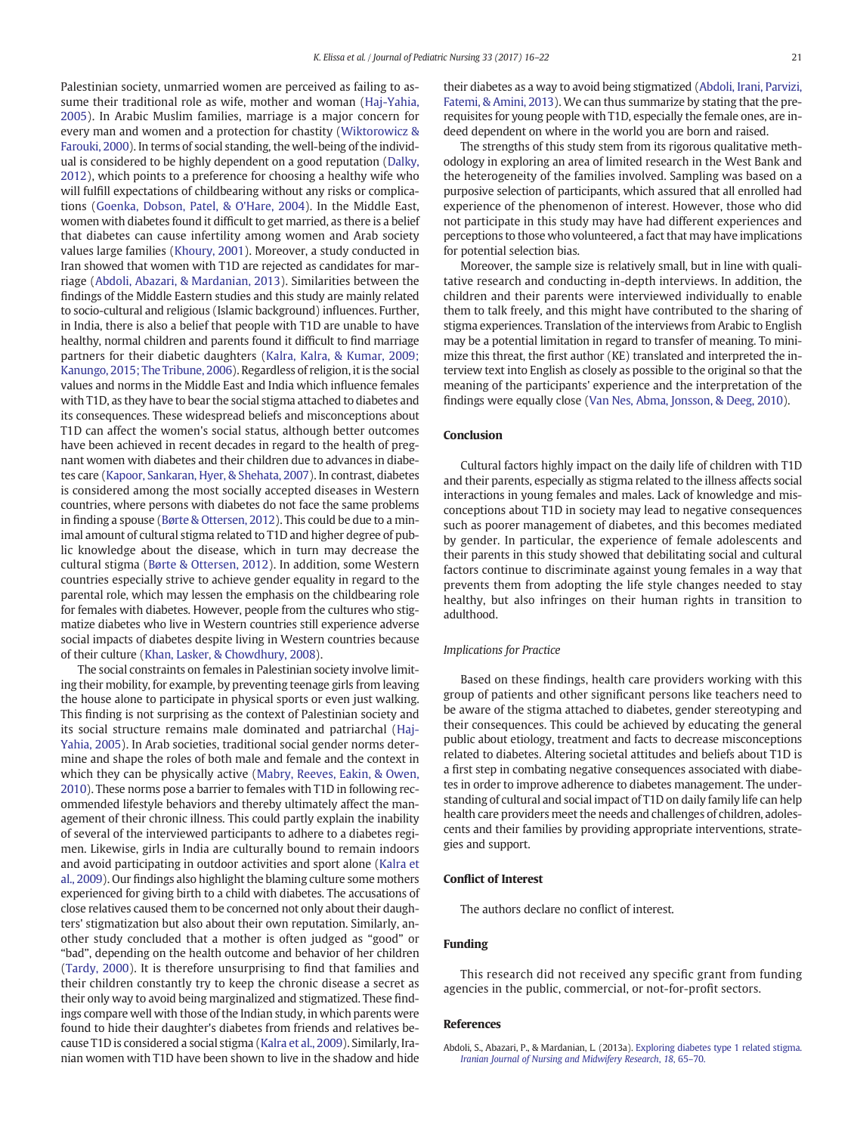Palestinian society, unmarried women are perceived as failing to assume their traditional role as wife, mother and woman ([Haj-Yahia,](#page-6-0) [2005\)](#page-6-0). In Arabic Muslim families, marriage is a major concern for every man and women and a protection for chastity ([Wiktorowicz &](#page-6-0) [Farouki, 2000](#page-6-0)). In terms of social standing, the well-being of the individual is considered to be highly dependent on a good reputation [\(Dalky,](#page-6-0) [2012\)](#page-6-0), which points to a preference for choosing a healthy wife who will fulfill expectations of childbearing without any risks or complications ([Goenka, Dobson, Patel, & O'Hare, 2004](#page-6-0)). In the Middle East, women with diabetes found it difficult to get married, as there is a belief that diabetes can cause infertility among women and Arab society values large families [\(Khoury, 2001\)](#page-6-0). Moreover, a study conducted in Iran showed that women with T1D are rejected as candidates for marriage (Abdoli, Abazari, & Mardanian, 2013). Similarities between the findings of the Middle Eastern studies and this study are mainly related to socio-cultural and religious (Islamic background) influences. Further, in India, there is also a belief that people with T1D are unable to have healthy, normal children and parents found it difficult to find marriage partners for their diabetic daughters [\(Kalra, Kalra, & Kumar, 2009;](#page-6-0) [Kanungo, 2015; The Tribune, 2006](#page-6-0)). Regardless of religion, it is the social values and norms in the Middle East and India which influence females with T1D, as they have to bear the social stigma attached to diabetes and its consequences. These widespread beliefs and misconceptions about T1D can affect the women's social status, although better outcomes have been achieved in recent decades in regard to the health of pregnant women with diabetes and their children due to advances in diabetes care [\(Kapoor, Sankaran, Hyer, & Shehata, 2007](#page-6-0)). In contrast, diabetes is considered among the most socially accepted diseases in Western countries, where persons with diabetes do not face the same problems in finding a spouse [\(Børte & Ottersen, 2012](#page-6-0)). This could be due to a minimal amount of cultural stigma related to T1D and higher degree of public knowledge about the disease, which in turn may decrease the cultural stigma ([Børte & Ottersen, 2012](#page-6-0)). In addition, some Western countries especially strive to achieve gender equality in regard to the parental role, which may lessen the emphasis on the childbearing role for females with diabetes. However, people from the cultures who stigmatize diabetes who live in Western countries still experience adverse social impacts of diabetes despite living in Western countries because of their culture [\(Khan, Lasker, & Chowdhury, 2008\)](#page-6-0).

The social constraints on females in Palestinian society involve limiting their mobility, for example, by preventing teenage girls from leaving the house alone to participate in physical sports or even just walking. This finding is not surprising as the context of Palestinian society and its social structure remains male dominated and patriarchal ([Haj-](#page-6-0)[Yahia, 2005\)](#page-6-0). In Arab societies, traditional social gender norms determine and shape the roles of both male and female and the context in which they can be physically active ([Mabry, Reeves, Eakin, & Owen,](#page-6-0) [2010](#page-6-0)). These norms pose a barrier to females with T1D in following recommended lifestyle behaviors and thereby ultimately affect the management of their chronic illness. This could partly explain the inability of several of the interviewed participants to adhere to a diabetes regimen. Likewise, girls in India are culturally bound to remain indoors and avoid participating in outdoor activities and sport alone ([Kalra et](#page-6-0) [al., 2009\)](#page-6-0). Our findings also highlight the blaming culture some mothers experienced for giving birth to a child with diabetes. The accusations of close relatives caused them to be concerned not only about their daughters' stigmatization but also about their own reputation. Similarly, another study concluded that a mother is often judged as "good" or "bad", depending on the health outcome and behavior of her children [\(Tardy, 2000](#page-6-0)). It is therefore unsurprising to find that families and their children constantly try to keep the chronic disease a secret as their only way to avoid being marginalized and stigmatized. These findings compare well with those of the Indian study, in which parents were found to hide their daughter's diabetes from friends and relatives because T1D is considered a social stigma [\(Kalra et al., 2009\)](#page-6-0). Similarly, Iranian women with T1D have been shown to live in the shadow and hide

their diabetes as a way to avoid being stigmatized ([Abdoli, Irani, Parvizi,](#page-6-0) [Fatemi, & Amini, 2013\)](#page-6-0). We can thus summarize by stating that the prerequisites for young people with T1D, especially the female ones, are indeed dependent on where in the world you are born and raised.

The strengths of this study stem from its rigorous qualitative methodology in exploring an area of limited research in the West Bank and the heterogeneity of the families involved. Sampling was based on a purposive selection of participants, which assured that all enrolled had experience of the phenomenon of interest. However, those who did not participate in this study may have had different experiences and perceptions to those who volunteered, a fact that may have implications for potential selection bias.

Moreover, the sample size is relatively small, but in line with qualitative research and conducting in-depth interviews. In addition, the children and their parents were interviewed individually to enable them to talk freely, and this might have contributed to the sharing of stigma experiences. Translation of the interviews from Arabic to English may be a potential limitation in regard to transfer of meaning. To minimize this threat, the first author (KE) translated and interpreted the interview text into English as closely as possible to the original so that the meaning of the participants' experience and the interpretation of the findings were equally close [\(Van Nes, Abma, Jonsson, & Deeg, 2010](#page-6-0)).

# Conclusion

Cultural factors highly impact on the daily life of children with T1D and their parents, especially as stigma related to the illness affects social interactions in young females and males. Lack of knowledge and misconceptions about T1D in society may lead to negative consequences such as poorer management of diabetes, and this becomes mediated by gender. In particular, the experience of female adolescents and their parents in this study showed that debilitating social and cultural factors continue to discriminate against young females in a way that prevents them from adopting the life style changes needed to stay healthy, but also infringes on their human rights in transition to adulthood.

#### Implications for Practice

Based on these findings, health care providers working with this group of patients and other significant persons like teachers need to be aware of the stigma attached to diabetes, gender stereotyping and their consequences. This could be achieved by educating the general public about etiology, treatment and facts to decrease misconceptions related to diabetes. Altering societal attitudes and beliefs about T1D is a first step in combating negative consequences associated with diabetes in order to improve adherence to diabetes management. The understanding of cultural and social impact of T1D on daily family life can help health care providers meet the needs and challenges of children, adolescents and their families by providing appropriate interventions, strategies and support.

#### Conflict of Interest

The authors declare no conflict of interest.

# Funding

This research did not received any specific grant from funding agencies in the public, commercial, or not-for-profit sectors.

#### References

Abdoli, S., Abazari, P., & Mardanian, L. (2013a). [Exploring diabetes type 1 related stigma.](http://refhub.elsevier.com/S0882-5963(16)30444-4/rf0005) [Iranian Journal of Nursing and Midwifery Research](http://refhub.elsevier.com/S0882-5963(16)30444-4/rf0005), 18, 65–70.